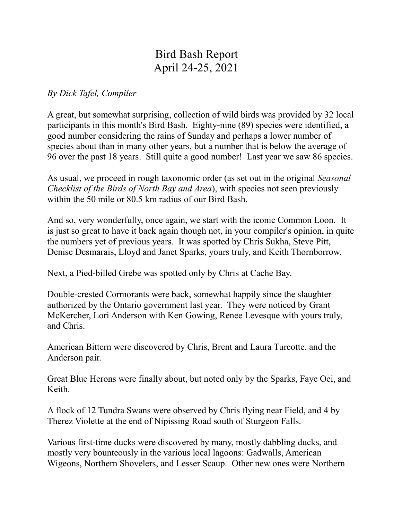## Bird Bash Report April 24-25, 2021

*By Dick Tafel, Compiler*

A great, but somewhat surprising, collection of wild birds was provided by 32 local participants in this month's Bird Bash. Eighty-nine (89) species were identified, a good number considering the rains of Sunday and perhaps a lower number of species about than in many other years, but a number that is below the average of 96 over the past 18 years. Still quite a good number! Last year we saw 86 species.

As usual, we proceed in rough taxonomic order (as set out in the original *Seasonal Checklist of the Birds of North Bay and Area*), with species not seen previously within the 50 mile or 80.5 km radius of our Bird Bash.

And so, very wonderfully, once again, we start with the iconic Common Loon. It is just so great to have it back again though not, in your compiler's opinion, in quite the numbers yet of previous years. It was spotted by Chris Sukha, Steve Pitt, Denise Desmarais, Lloyd and Janet Sparks, yours truly, and Keith Thornborrow.

Next, a Pied-billed Grebe was spotted only by Chris at Cache Bay.

Double-crested Cormorants were back, somewhat happily since the slaughter authorized by the Ontario government last year. They were noticed by Grant McKercher, Lori Anderson with Ken Gowing, Renee Levesque with yours truly, and Chris.

American Bittern were discovered by Chris, Brent and Laura Turcotte, and the Anderson pair.

Great Blue Herons were finally about, but noted only by the Sparks, Faye Oei, and Keith.

A flock of 12 Tundra Swans were observed by Chris flying near Field, and 4 by Therez Violette at the end of Nipissing Road south of Sturgeon Falls.

Various first-time ducks were discovered by many, mostly dabbling ducks, and mostly very bounteously in the various local lagoons: Gadwalls, American Wigeons, Northern Shovelers, and Lesser Scaup. Other new ones were Northern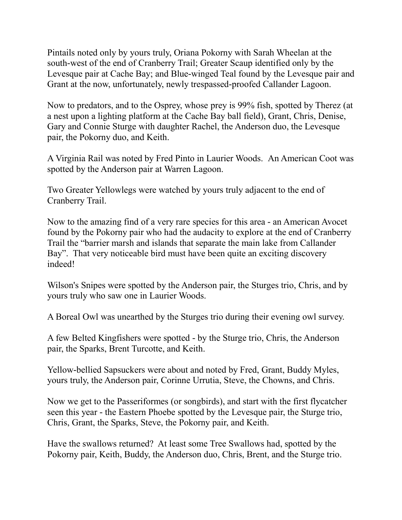Pintails noted only by yours truly, Oriana Pokorny with Sarah Wheelan at the south-west of the end of Cranberry Trail; Greater Scaup identified only by the Levesque pair at Cache Bay; and Blue-winged Teal found by the Levesque pair and Grant at the now, unfortunately, newly trespassed-proofed Callander Lagoon.

Now to predators, and to the Osprey, whose prey is 99% fish, spotted by Therez (at a nest upon a lighting platform at the Cache Bay ball field), Grant, Chris, Denise, Gary and Connie Sturge with daughter Rachel, the Anderson duo, the Levesque pair, the Pokorny duo, and Keith.

A Virginia Rail was noted by Fred Pinto in Laurier Woods. An American Coot was spotted by the Anderson pair at Warren Lagoon.

Two Greater Yellowlegs were watched by yours truly adjacent to the end of Cranberry Trail.

Now to the amazing find of a very rare species for this area - an American Avocet found by the Pokorny pair who had the audacity to explore at the end of Cranberry Trail the "barrier marsh and islands that separate the main lake from Callander Bay". That very noticeable bird must have been quite an exciting discovery indeed!

Wilson's Snipes were spotted by the Anderson pair, the Sturges trio, Chris, and by yours truly who saw one in Laurier Woods.

A Boreal Owl was unearthed by the Sturges trio during their evening owl survey.

A few Belted Kingfishers were spotted - by the Sturge trio, Chris, the Anderson pair, the Sparks, Brent Turcotte, and Keith.

Yellow-bellied Sapsuckers were about and noted by Fred, Grant, Buddy Myles, yours truly, the Anderson pair, Corinne Urrutia, Steve, the Chowns, and Chris.

Now we get to the Passeriformes (or songbirds), and start with the first flycatcher seen this year - the Eastern Phoebe spotted by the Levesque pair, the Sturge trio, Chris, Grant, the Sparks, Steve, the Pokorny pair, and Keith.

Have the swallows returned? At least some Tree Swallows had, spotted by the Pokorny pair, Keith, Buddy, the Anderson duo, Chris, Brent, and the Sturge trio.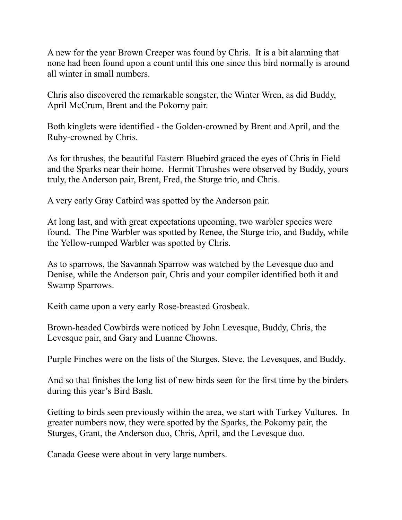A new for the year Brown Creeper was found by Chris. It is a bit alarming that none had been found upon a count until this one since this bird normally is around all winter in small numbers.

Chris also discovered the remarkable songster, the Winter Wren, as did Buddy, April McCrum, Brent and the Pokorny pair.

Both kinglets were identified - the Golden-crowned by Brent and April, and the Ruby-crowned by Chris.

As for thrushes, the beautiful Eastern Bluebird graced the eyes of Chris in Field and the Sparks near their home. Hermit Thrushes were observed by Buddy, yours truly, the Anderson pair, Brent, Fred, the Sturge trio, and Chris.

A very early Gray Catbird was spotted by the Anderson pair.

At long last, and with great expectations upcoming, two warbler species were found. The Pine Warbler was spotted by Renee, the Sturge trio, and Buddy, while the Yellow-rumped Warbler was spotted by Chris.

As to sparrows, the Savannah Sparrow was watched by the Levesque duo and Denise, while the Anderson pair, Chris and your compiler identified both it and Swamp Sparrows.

Keith came upon a very early Rose-breasted Grosbeak.

Brown-headed Cowbirds were noticed by John Levesque, Buddy, Chris, the Levesque pair, and Gary and Luanne Chowns.

Purple Finches were on the lists of the Sturges, Steve, the Levesques, and Buddy.

And so that finishes the long list of new birds seen for the first time by the birders during this year's Bird Bash.

Getting to birds seen previously within the area, we start with Turkey Vultures. In greater numbers now, they were spotted by the Sparks, the Pokorny pair, the Sturges, Grant, the Anderson duo, Chris, April, and the Levesque duo.

Canada Geese were about in very large numbers.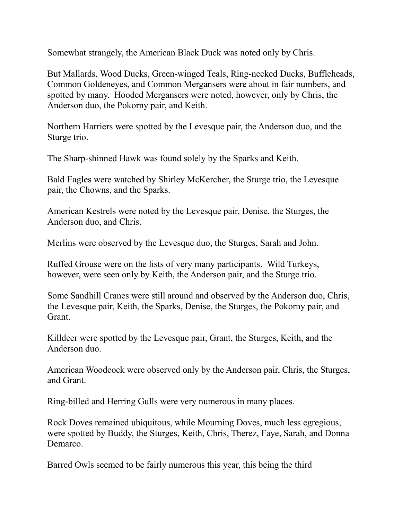Somewhat strangely, the American Black Duck was noted only by Chris.

But Mallards, Wood Ducks, Green-winged Teals, Ring-necked Ducks, Buffleheads, Common Goldeneyes, and Common Mergansers were about in fair numbers, and spotted by many. Hooded Mergansers were noted, however, only by Chris, the Anderson duo, the Pokorny pair, and Keith.

Northern Harriers were spotted by the Levesque pair, the Anderson duo, and the Sturge trio.

The Sharp-shinned Hawk was found solely by the Sparks and Keith.

Bald Eagles were watched by Shirley McKercher, the Sturge trio, the Levesque pair, the Chowns, and the Sparks.

American Kestrels were noted by the Levesque pair, Denise, the Sturges, the Anderson duo, and Chris.

Merlins were observed by the Levesque duo, the Sturges, Sarah and John.

Ruffed Grouse were on the lists of very many participants. Wild Turkeys, however, were seen only by Keith, the Anderson pair, and the Sturge trio.

Some Sandhill Cranes were still around and observed by the Anderson duo, Chris, the Levesque pair, Keith, the Sparks, Denise, the Sturges, the Pokorny pair, and Grant.

Killdeer were spotted by the Levesque pair, Grant, the Sturges, Keith, and the Anderson duo.

American Woodcock were observed only by the Anderson pair, Chris, the Sturges, and Grant.

Ring-billed and Herring Gulls were very numerous in many places.

Rock Doves remained ubiquitous, while Mourning Doves, much less egregious, were spotted by Buddy, the Sturges, Keith, Chris, Therez, Faye, Sarah, and Donna **Demarco** 

Barred Owls seemed to be fairly numerous this year, this being the third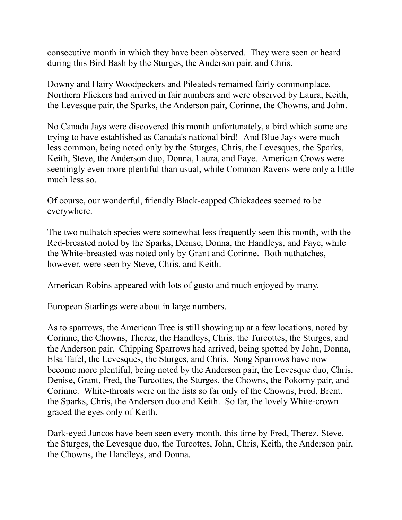consecutive month in which they have been observed. They were seen or heard during this Bird Bash by the Sturges, the Anderson pair, and Chris.

Downy and Hairy Woodpeckers and Pileateds remained fairly commonplace. Northern Flickers had arrived in fair numbers and were observed by Laura, Keith, the Levesque pair, the Sparks, the Anderson pair, Corinne, the Chowns, and John.

No Canada Jays were discovered this month unfortunately, a bird which some are trying to have established as Canada's national bird! And Blue Jays were much less common, being noted only by the Sturges, Chris, the Levesques, the Sparks, Keith, Steve, the Anderson duo, Donna, Laura, and Faye. American Crows were seemingly even more plentiful than usual, while Common Ravens were only a little much less so.

Of course, our wonderful, friendly Black-capped Chickadees seemed to be everywhere.

The two nuthatch species were somewhat less frequently seen this month, with the Red-breasted noted by the Sparks, Denise, Donna, the Handleys, and Faye, while the White-breasted was noted only by Grant and Corinne. Both nuthatches, however, were seen by Steve, Chris, and Keith.

American Robins appeared with lots of gusto and much enjoyed by many.

European Starlings were about in large numbers.

As to sparrows, the American Tree is still showing up at a few locations, noted by Corinne, the Chowns, Therez, the Handleys, Chris, the Turcottes, the Sturges, and the Anderson pair. Chipping Sparrows had arrived, being spotted by John, Donna, Elsa Tafel, the Levesques, the Sturges, and Chris. Song Sparrows have now become more plentiful, being noted by the Anderson pair, the Levesque duo, Chris, Denise, Grant, Fred, the Turcottes, the Sturges, the Chowns, the Pokorny pair, and Corinne. White-throats were on the lists so far only of the Chowns, Fred, Brent, the Sparks, Chris, the Anderson duo and Keith. So far, the lovely White-crown graced the eyes only of Keith.

Dark-eyed Juncos have been seen every month, this time by Fred, Therez, Steve, the Sturges, the Levesque duo, the Turcottes, John, Chris, Keith, the Anderson pair, the Chowns, the Handleys, and Donna.